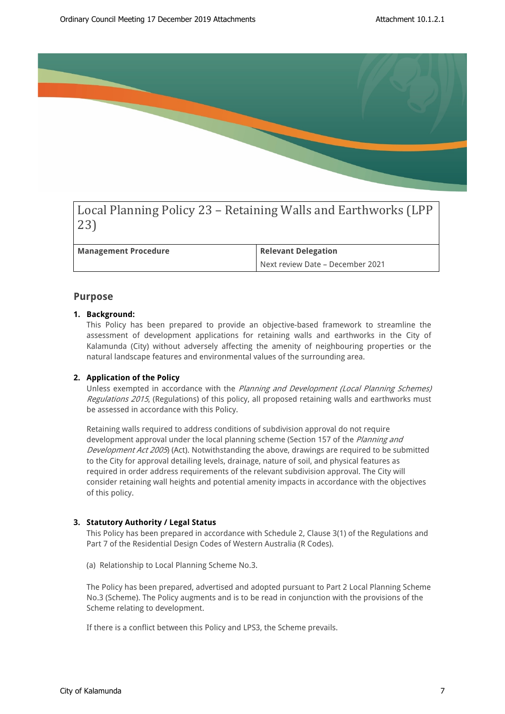

Local Planning Policy 23 – Retaining Walls and Earthworks (LPP 23)

**Management Procedure Relevant Delegation** 

Next review Date – December 2021

### **Purpose**

#### **1. Background:**

This Policy has been prepared to provide an objective-based framework to streamline the assessment of development applications for retaining walls and earthworks in the City of Kalamunda (City) without adversely affecting the amenity of neighbouring properties or the natural landscape features and environmental values of the surrounding area.

#### **2. Application of the Policy**

Unless exempted in accordance with the *Planning and Development (Local Planning Schemes) Regulations 2015*, (Regulations) of this policy, all proposed retaining walls and earthworks must be assessed in accordance with this Policy.

Retaining walls required to address conditions of subdivision approval do not require development approval under the local planning scheme (Section 157 of the *Planning and Development Act 2005*) (Act). Notwithstanding the above, drawings are required to be submitted to the City for approval detailing levels, drainage, nature of soil, and physical features as required in order address requirements of the relevant subdivision approval. The City will consider retaining wall heights and potential amenity impacts in accordance with the objectives of this policy.

#### **3. Statutory Authority / Legal Status**

This Policy has been prepared in accordance with Schedule 2, Clause 3(1) of the Regulations and Part 7 of the Residential Design Codes of Western Australia (R Codes).

(a) Relationship to Local Planning Scheme No.3.

The Policy has been prepared, advertised and adopted pursuant to Part 2 Local Planning Scheme No.3 (Scheme). The Policy augments and is to be read in conjunction with the provisions of the Scheme relating to development.

If there is a conflict between this Policy and LPS3, the Scheme prevails.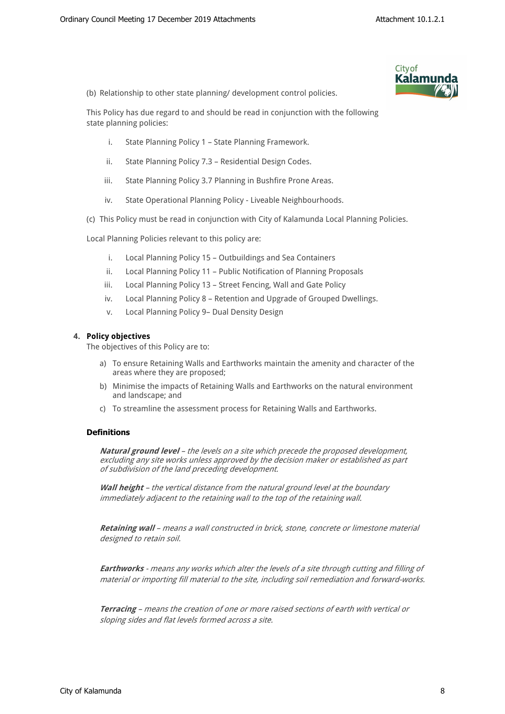

(b) Relationship to other state planning/ development control policies.

This Policy has due regard to and should be read in conjunction with the following state planning policies:

- i. State Planning Policy 1 State Planning Framework.
- ii. State Planning Policy 7.3 Residential Design Codes.
- iii. State Planning Policy 3.7 Planning in Bushfire Prone Areas.
- iv. State Operational Planning Policy Liveable Neighbourhoods.
- (c) This Policy must be read in conjunction with City of Kalamunda Local Planning Policies.

Local Planning Policies relevant to this policy are:

- i. Local Planning Policy 15 Outbuildings and Sea Containers
- ii. Local Planning Policy 11 Public Notification of Planning Proposals
- iii. Local Planning Policy 13 Street Fencing, Wall and Gate Policy
- iv. Local Planning Policy 8 Retention and Upgrade of Grouped Dwellings.
- v. Local Planning Policy 9– Dual Density Design

# **4. Policy objectives**

The objectives of this Policy are to:

- a) To ensure Retaining Walls and Earthworks maintain the amenity and character of the areas where they are proposed;
- b) Minimise the impacts of Retaining Walls and Earthworks on the natural environment and landscape; and
- c) To streamline the assessment process for Retaining Walls and Earthworks.

## **Definitions**

*Natural ground level – the levels on a site which precede the proposed development, excluding any site works unless approved by the decision maker or established as part of subdivision of the land preceding development.*

*Wall height – the vertical distance from the natural ground level at the boundary immediately adjacent to the retaining wall to the top of the retaining wall.* 

*Retaining wall – means a wall constructed in brick, stone, concrete or limestone material designed to retain soil.*

*Earthworks - means any works which alter the levels of a site through cutting and filling of material or importing fill material to the site, including soil remediation and forward-works.*

*Terracing – means the creation of one or more raised sections of earth with vertical or sloping sides and flat levels formed across a site.*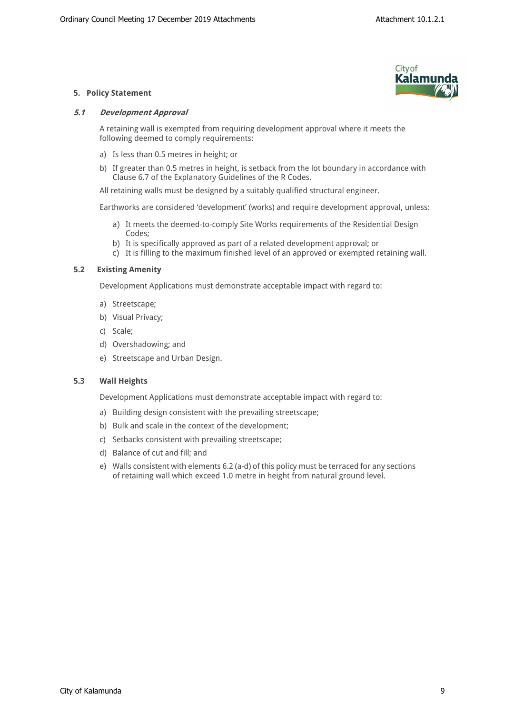

#### **5. Policy Statement**

#### *5.1 Development Approval*

A retaining wall is exempted from requiring development approval where it meets the following deemed to comply requirements:

- a) Is less than 0.5 metres in height; or
- b) If greater than 0.5 metres in height, is setback from the lot boundary in accordance with Clause 6.7 of the Explanatory Guidelines of the R Codes.

All retaining walls must be designed by a suitably qualified structural engineer.

Earthworks are considered 'development' (works) and require development approval, unless:

- a) It meets the deemed-to-comply Site Works requirements of the Residential Design Codes;
- b) It is specifically approved as part of a related development approval; or
- c) It is filling to the maximum finished level of an approved or exempted retaining wall.

#### **5.2 Existing Amenity**

Development Applications must demonstrate acceptable impact with regard to:

- a) Streetscape;
- b) Visual Privacy;
- c) Scale;
- d) Overshadowing; and
- e) Streetscape and Urban Design.

#### **5.3 Wall Heights**

Development Applications must demonstrate acceptable impact with regard to:

- a) Building design consistent with the prevailing streetscape;
- b) Bulk and scale in the context of the development;
- c) Setbacks consistent with prevailing streetscape;
- d) Balance of cut and fill; and
- e) Walls consistent with elements 6.2 (a-d) of this policy must be terraced for any sections of retaining wall which exceed 1.0 metre in height from natural ground level.